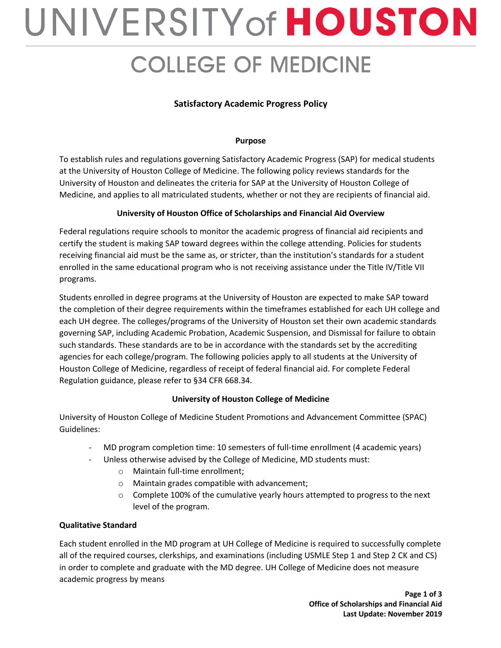# UNIVERSITY of HOUSTON **COLLEGE OF MEDICINE**

## **Satisfactory Academic Progress Policy**

#### **Purpose**

To establish rules and regulations governing Satisfactory Academic Progress (SAP) for medical students at the University of Houston College of Medicine. The following policy reviews standards for the University of Houston and delineates the criteria for SAP at the University of Houston College of Medicine, and applies to all matriculated students, whether or not they are recipients of financial aid.

## **University of Houston Office of Scholarships and Financial Aid Overview**

Federal regulations require schools to monitor the academic progress of financial aid recipients and certify the student is making SAP toward degrees within the college attending. Policies for students receiving financial aid must be the same as, or stricter, than the institution's standards for a student enrolled in the same educational program who is not receiving assistance under the Title IV/Title VII programs.

Students enrolled in degree programs at the University of Houston are expected to make SAP toward the completion of their degree requirements within the timeframes established for each UH college and each UH degree. The colleges/programs of the University of Houston set their own academic standards governing SAP, including Academic Probation, Academic Suspension, and Dismissal for failure to obtain such standards. These standards are to be in accordance with the standards set by the accrediting agencies for each college/program. The following policies apply to all students at the University of Houston College of Medicine, regardless of receipt of federal financial aid. For complete Federal Regulation guidance, please refer to §34 CFR 668.34.

## **University of Houston College of Medicine**

University of Houston College of Medicine Student Promotions and Advancement Committee (SPAC) Guidelines:

- MD program completion time: 10 semesters of full-time enrollment (4 academic years)
- Unless otherwise advised by the College of Medicine, MD students must:
	- o Maintain full-time enrollment;
	- o Maintain grades compatible with advancement;
	- o Complete 100% of the cumulative yearly hours attempted to progress to the next level of the program.

## **Qualitative Standard**

Each student enrolled in the MD program at UH College of Medicine is required to successfully complete all of the required courses, clerkships, and examinations (including USMLE Step 1 and Step 2 CK and CS) in order to complete and graduate with the MD degree. UH College of Medicine does not measure academic progress by means

> **Page 1 of 3 Office of Scholarships and Financial Aid Last Update: November 2019**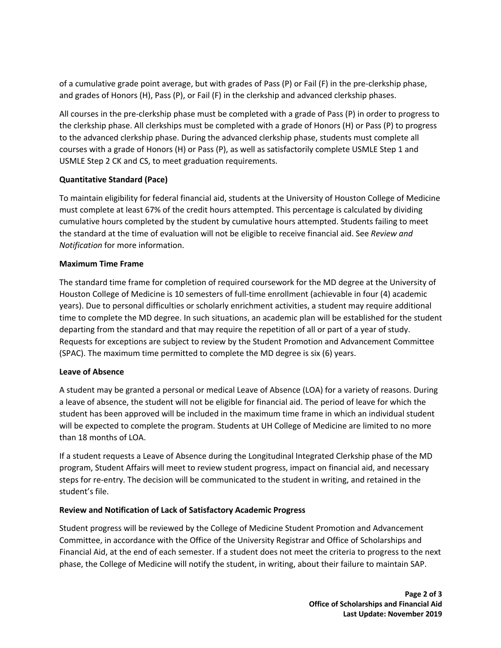of a cumulative grade point average, but with grades of Pass (P) or Fail (F) in the pre-clerkship phase, and grades of Honors (H), Pass (P), or Fail (F) in the clerkship and advanced clerkship phases.

All courses in the pre-clerkship phase must be completed with a grade of Pass (P) in order to progress to the clerkship phase. All clerkships must be completed with a grade of Honors (H) or Pass (P) to progress to the advanced clerkship phase. During the advanced clerkship phase, students must complete all courses with a grade of Honors (H) or Pass (P), as well as satisfactorily complete USMLE Step 1 and USMLE Step 2 CK and CS, to meet graduation requirements.

## **Quantitative Standard (Pace)**

To maintain eligibility for federal financial aid, students at the University of Houston College of Medicine must complete at least 67% of the credit hours attempted. This percentage is calculated by dividing cumulative hours completed by the student by cumulative hours attempted. Students failing to meet the standard at the time of evaluation will not be eligible to receive financial aid. See *Review and Notification* for more information.

#### **Maximum Time Frame**

The standard time frame for completion of required coursework for the MD degree at the University of Houston College of Medicine is 10 semesters of full-time enrollment (achievable in four (4) academic years). Due to personal difficulties or scholarly enrichment activities, a student may require additional time to complete the MD degree. In such situations, an academic plan will be established for the student departing from the standard and that may require the repetition of all or part of a year of study. Requests for exceptions are subject to review by the Student Promotion and Advancement Committee (SPAC). The maximum time permitted to complete the MD degree is six (6) years.

#### **Leave of Absence**

A student may be granted a personal or medical Leave of Absence (LOA) for a variety of reasons. During a leave of absence, the student will not be eligible for financial aid. The period of leave for which the student has been approved will be included in the maximum time frame in which an individual student will be expected to complete the program. Students at UH College of Medicine are limited to no more than 18 months of LOA.

If a student requests a Leave of Absence during the Longitudinal Integrated Clerkship phase of the MD program, Student Affairs will meet to review student progress, impact on financial aid, and necessary steps for re-entry. The decision will be communicated to the student in writing, and retained in the student's file.

## **Review and Notification of Lack of Satisfactory Academic Progress**

Student progress will be reviewed by the College of Medicine Student Promotion and Advancement Committee, in accordance with the Office of the University Registrar and Office of Scholarships and Financial Aid, at the end of each semester. If a student does not meet the criteria to progress to the next phase, the College of Medicine will notify the student, in writing, about their failure to maintain SAP.